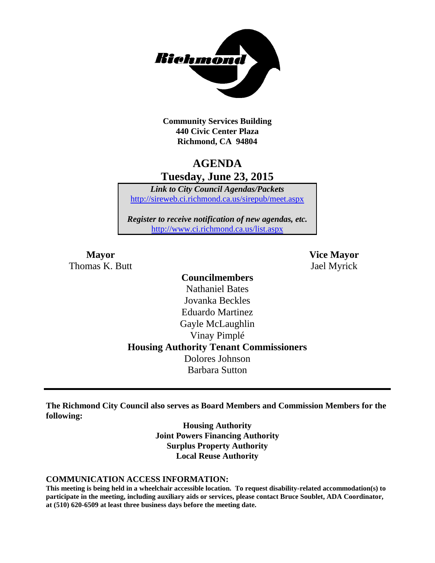

**Community Services Building 440 Civic Center Plaza Richmond, CA 94804**

## **AGENDA Tuesday, June 23, 2015**

*Link to City Council Agendas/Packets* <http://sireweb.ci.richmond.ca.us/sirepub/meet.aspx>

*Register to receive notification of new agendas, etc.* <http://www.ci.richmond.ca.us/list.aspx>

Thomas K. Butt Jael Myrick

**Mayor Vice Mayor**

### **Councilmembers** Nathaniel Bates Jovanka Beckles Eduardo Martinez Gayle McLaughlin Vinay Pimplé **Housing Authority Tenant Commissioners** Dolores Johnson Barbara Sutton

**The Richmond City Council also serves as Board Members and Commission Members for the following:**

> **Housing Authority Joint Powers Financing Authority Surplus Property Authority Local Reuse Authority**

#### **COMMUNICATION ACCESS INFORMATION:**

**This meeting is being held in a wheelchair accessible location. To request disability-related accommodation(s) to participate in the meeting, including auxiliary aids or services, please contact Bruce Soublet, ADA Coordinator, at (510) 620-6509 at least three business days before the meeting date.**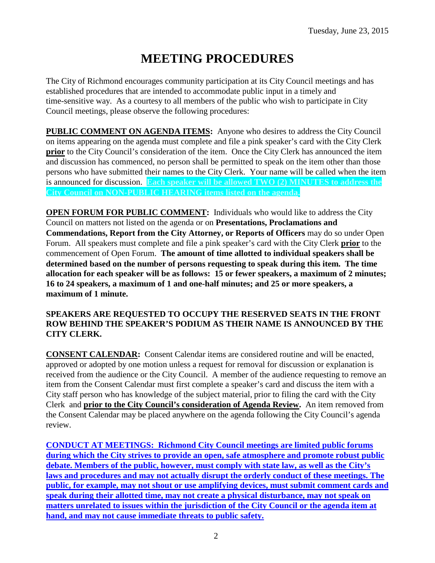# **MEETING PROCEDURES**

The City of Richmond encourages community participation at its City Council meetings and has established procedures that are intended to accommodate public input in a timely and time-sensitive way. As a courtesy to all members of the public who wish to participate in City Council meetings, please observe the following procedures:

**PUBLIC COMMENT ON AGENDA ITEMS:** Anyone who desires to address the City Council on items appearing on the agenda must complete and file a pink speaker's card with the City Clerk **prior** to the City Council's consideration of the item. Once the City Clerk has announced the item and discussion has commenced, no person shall be permitted to speak on the item other than those persons who have submitted their names to the City Clerk. Your name will be called when the item is announced for discussion. **Each speaker will be allowed TWO (2) MINUTES to address the City Council on NON-PUBLIC HEARING items listed on the agenda.**

**OPEN FORUM FOR PUBLIC COMMENT:** Individuals who would like to address the City Council on matters not listed on the agenda or on **Presentations, Proclamations and Commendations, Report from the City Attorney, or Reports of Officers** may do so under Open Forum. All speakers must complete and file a pink speaker's card with the City Clerk **prior** to the commencement of Open Forum. **The amount of time allotted to individual speakers shall be determined based on the number of persons requesting to speak during this item. The time allocation for each speaker will be as follows: 15 or fewer speakers, a maximum of 2 minutes; 16 to 24 speakers, a maximum of 1 and one-half minutes; and 25 or more speakers, a maximum of 1 minute.**

#### **SPEAKERS ARE REQUESTED TO OCCUPY THE RESERVED SEATS IN THE FRONT ROW BEHIND THE SPEAKER'S PODIUM AS THEIR NAME IS ANNOUNCED BY THE CITY CLERK.**

**CONSENT CALENDAR:** Consent Calendar items are considered routine and will be enacted, approved or adopted by one motion unless a request for removal for discussion or explanation is received from the audience or the City Council. A member of the audience requesting to remove an item from the Consent Calendar must first complete a speaker's card and discuss the item with a City staff person who has knowledge of the subject material, prior to filing the card with the City Clerk and **prior to the City Council's consideration of Agenda Review.** An item removed from the Consent Calendar may be placed anywhere on the agenda following the City Council's agenda review.

**CONDUCT AT MEETINGS: Richmond City Council meetings are limited public forums during which the City strives to provide an open, safe atmosphere and promote robust public debate. Members of the public, however, must comply with state law, as well as the City's laws and procedures and may not actually disrupt the orderly conduct of these meetings. The public, for example, may not shout or use amplifying devices, must submit comment cards and speak during their allotted time, may not create a physical disturbance, may not speak on matters unrelated to issues within the jurisdiction of the City Council or the agenda item at hand, and may not cause immediate threats to public safety.**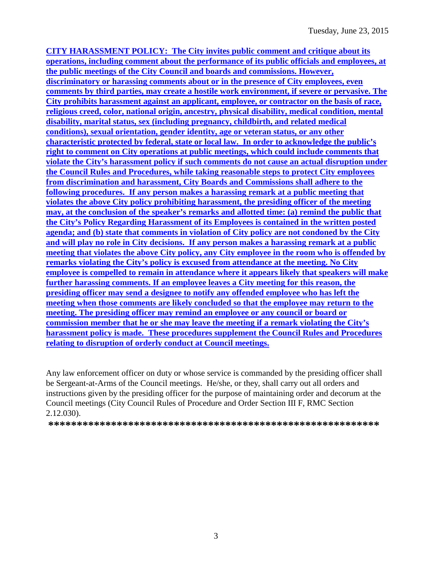**CITY HARASSMENT POLICY: The City invites public comment and critique about its operations, including comment about the performance of its public officials and employees, at the public meetings of the City Council and boards and commissions. However, discriminatory or harassing comments about or in the presence of City employees, even comments by third parties, may create a hostile work environment, if severe or pervasive. The City prohibits harassment against an applicant, employee, or contractor on the basis of race, religious creed, color, national origin, ancestry, physical disability, medical condition, mental disability, marital status, sex (including pregnancy, childbirth, and related medical conditions), sexual orientation, gender identity, age or veteran status, or any other characteristic protected by federal, state or local law. In order to acknowledge the public's right to comment on City operations at public meetings, which could include comments that violate the City's harassment policy if such comments do not cause an actual disruption under the Council Rules and Procedures, while taking reasonable steps to protect City employees from discrimination and harassment, City Boards and Commissions shall adhere to the following procedures. If any person makes a harassing remark at a public meeting that violates the above City policy prohibiting harassment, the presiding officer of the meeting may, at the conclusion of the speaker's remarks and allotted time: (a) remind the public that the City's Policy Regarding Harassment of its Employees is contained in the written posted agenda; and (b) state that comments in violation of City policy are not condoned by the City and will play no role in City decisions. If any person makes a harassing remark at a public meeting that violates the above City policy, any City employee in the room who is offended by remarks violating the City's policy is excused from attendance at the meeting. No City employee is compelled to remain in attendance where it appears likely that speakers will make further harassing comments. If an employee leaves a City meeting for this reason, the presiding officer may send a designee to notify any offended employee who has left the meeting when those comments are likely concluded so that the employee may return to the meeting. The presiding officer may remind an employee or any council or board or commission member that he or she may leave the meeting if a remark violating the City's harassment policy is made. These procedures supplement the Council Rules and Procedures relating to disruption of orderly conduct at Council meetings.**

Any law enforcement officer on duty or whose service is commanded by the presiding officer shall be Sergeant-at-Arms of the Council meetings. He/she, or they, shall carry out all orders and instructions given by the presiding officer for the purpose of maintaining order and decorum at the Council meetings (City Council Rules of Procedure and Order Section III F, RMC Section 2.12.030).

**\*\*\*\*\*\*\*\*\*\*\*\*\*\*\*\*\*\*\*\*\*\*\*\*\*\*\*\*\*\*\*\*\*\*\*\*\*\*\*\*\*\*\*\*\*\*\*\*\*\*\*\*\*\*\*\*\*\***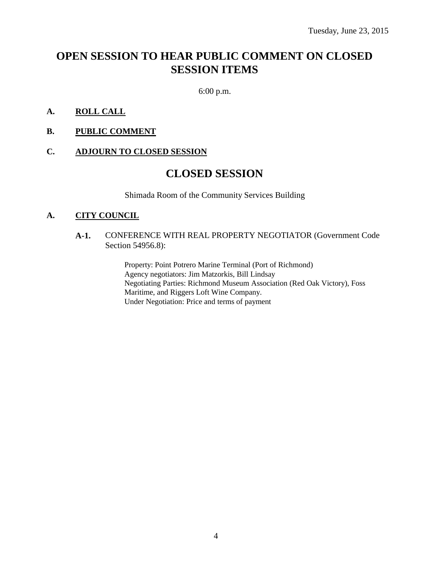# **OPEN SESSION TO HEAR PUBLIC COMMENT ON CLOSED SESSION ITEMS**

6:00 p.m.

- **A. ROLL CALL**
- **B. PUBLIC COMMENT**

#### **C. ADJOURN TO CLOSED SESSION**

### **CLOSED SESSION**

Shimada Room of the Community Services Building

#### **A. CITY COUNCIL**

#### **A-1.** CONFERENCE WITH REAL PROPERTY NEGOTIATOR (Government Code Section 54956.8):

Property: Point Potrero Marine Terminal (Port of Richmond) Agency negotiators: Jim Matzorkis, Bill Lindsay Negotiating Parties: Richmond Museum Association (Red Oak Victory), Foss Maritime, and Riggers Loft Wine Company. Under Negotiation: Price and terms of payment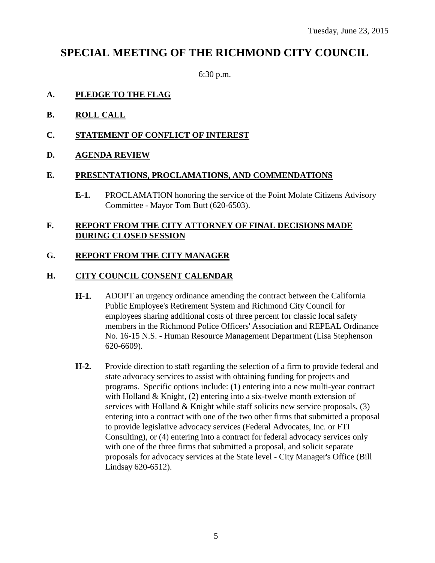# **SPECIAL MEETING OF THE RICHMOND CITY COUNCIL**

6:30 p.m.

#### **A. PLEDGE TO THE FLAG**

- **B. ROLL CALL**
- **C. STATEMENT OF CONFLICT OF INTEREST**

#### **D. AGENDA REVIEW**

#### **E. PRESENTATIONS, PROCLAMATIONS, AND COMMENDATIONS**

**E-1.** PROCLAMATION honoring the service of the Point Molate Citizens Advisory Committee - Mayor Tom Butt (620-6503).

#### **F. REPORT FROM THE CITY ATTORNEY OF FINAL DECISIONS MADE DURING CLOSED SESSION**

#### **G. REPORT FROM THE CITY MANAGER**

#### **H. CITY COUNCIL CONSENT CALENDAR**

- **H-1.** ADOPT an urgency ordinance amending the contract between the California Public Employee's Retirement System and Richmond City Council for employees sharing additional costs of three percent for classic local safety members in the Richmond Police Officers' Association and REPEAL Ordinance No. 16-15 N.S. - Human Resource Management Department (Lisa Stephenson 620-6609).
- **H-2.** Provide direction to staff regarding the selection of a firm to provide federal and state advocacy services to assist with obtaining funding for projects and programs. Specific options include: (1) entering into a new multi-year contract with Holland & Knight, (2) entering into a six-twelve month extension of services with Holland  $&$  Knight while staff solicits new service proposals,  $(3)$ entering into a contract with one of the two other firms that submitted a proposal to provide legislative advocacy services (Federal Advocates, Inc. or FTI Consulting), or (4) entering into a contract for federal advocacy services only with one of the three firms that submitted a proposal, and solicit separate proposals for advocacy services at the State level - City Manager's Office (Bill Lindsay 620-6512).